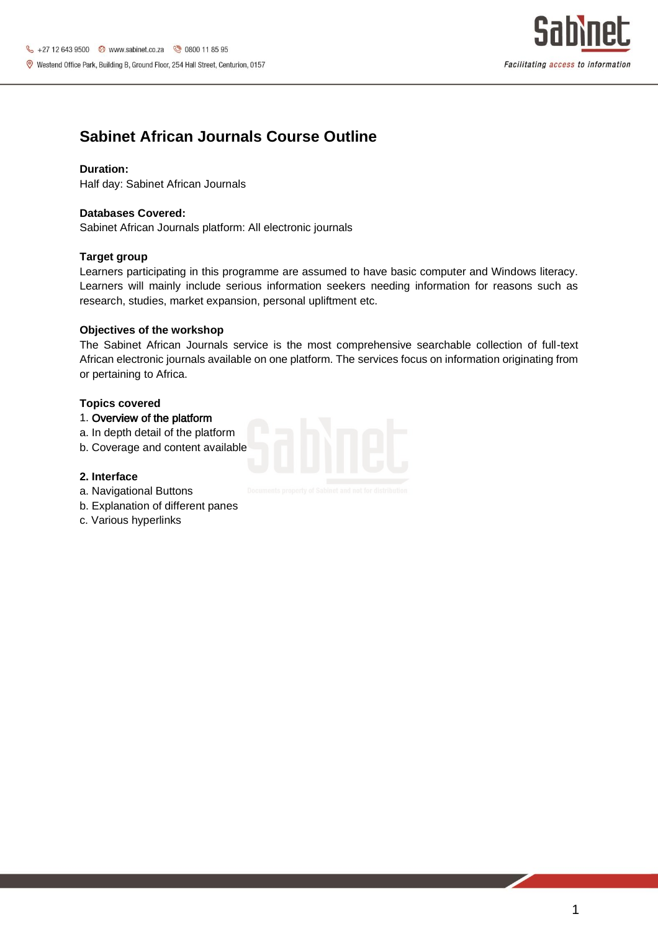

## **Sabinet African Journals Course Outline**

### **Duration:**

Half day: Sabinet African Journals

## **Databases Covered:**

Sabinet African Journals platform: All electronic journals

### **Target group**

Learners participating in this programme are assumed to have basic computer and Windows literacy. Learners will mainly include serious information seekers needing information for reasons such as research, studies, market expansion, personal upliftment etc.

### **Objectives of the workshop**

The Sabinet African Journals service is the most comprehensive searchable collection of full-text African electronic journals available on one platform. The services focus on information originating from or pertaining to Africa.

### **Topics covered**

## 1. Overview of the platform

- a. In depth detail of the platform
- b. Coverage and content available

#### **2. Interface**

- a. Navigational Buttons
- b. Explanation of different panes
- c. Various hyperlinks